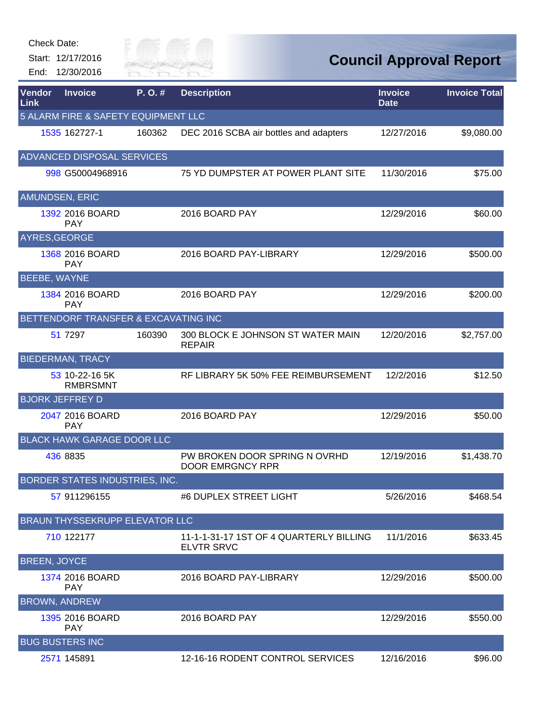Start: 12/17/2016

End: 12/30/2016

Gity of

| Vendor<br>Link        | <b>Invoice</b>                        | P.O.#  | <b>Description</b>                                           | <b>Invoice</b><br><b>Date</b> | <b>Invoice Total</b> |
|-----------------------|---------------------------------------|--------|--------------------------------------------------------------|-------------------------------|----------------------|
|                       | 5 ALARM FIRE & SAFETY EQUIPMENT LLC   |        |                                                              |                               |                      |
|                       | 1535 162727-1                         | 160362 | DEC 2016 SCBA air bottles and adapters                       | 12/27/2016                    | \$9,080.00           |
|                       | <b>ADVANCED DISPOSAL SERVICES</b>     |        |                                                              |                               |                      |
|                       | 998 G50004968916                      |        | 75 YD DUMPSTER AT POWER PLANT SITE                           | 11/30/2016                    | \$75.00              |
| <b>AMUNDSEN, ERIC</b> |                                       |        |                                                              |                               |                      |
|                       | 1392 2016 BOARD<br><b>PAY</b>         |        | 2016 BOARD PAY                                               | 12/29/2016                    | \$60.00              |
| AYRES, GEORGE         |                                       |        |                                                              |                               |                      |
|                       | 1368 2016 BOARD<br><b>PAY</b>         |        | 2016 BOARD PAY-LIBRARY                                       | 12/29/2016                    | \$500.00             |
| BEEBE, WAYNE          |                                       |        |                                                              |                               |                      |
|                       | 1384 2016 BOARD<br><b>PAY</b>         |        | 2016 BOARD PAY                                               | 12/29/2016                    | \$200.00             |
|                       | BETTENDORF TRANSFER & EXCAVATING INC  |        |                                                              |                               |                      |
|                       | 51 7297                               | 160390 | 300 BLOCK E JOHNSON ST WATER MAIN<br><b>REPAIR</b>           | 12/20/2016                    | \$2,757.00           |
|                       | <b>BIEDERMAN, TRACY</b>               |        |                                                              |                               |                      |
|                       | 53 10-22-16 5K<br><b>RMBRSMNT</b>     |        | RF LIBRARY 5K 50% FEE REIMBURSEMENT                          | 12/2/2016                     | \$12.50              |
|                       | <b>BJORK JEFFREY D</b>                |        |                                                              |                               |                      |
|                       | 2047 2016 BOARD<br><b>PAY</b>         |        | 2016 BOARD PAY                                               | 12/29/2016                    | \$50.00              |
|                       | <b>BLACK HAWK GARAGE DOOR LLC</b>     |        |                                                              |                               |                      |
|                       | 436 8835                              |        | PW BROKEN DOOR SPRING N OVRHD<br><b>DOOR EMRGNCY RPR</b>     | 12/19/2016                    | \$1,438.70           |
|                       | <b>BORDER STATES INDUSTRIES, INC.</b> |        |                                                              |                               |                      |
|                       | 57 911296155                          |        | #6 DUPLEX STREET LIGHT                                       | 5/26/2016                     | \$468.54             |
|                       | <b>BRAUN THYSSEKRUPP ELEVATOR LLC</b> |        |                                                              |                               |                      |
|                       | 710 122177                            |        | 11-1-1-31-17 1ST OF 4 QUARTERLY BILLING<br><b>ELVTR SRVC</b> | 11/1/2016                     | \$633.45             |
| <b>BREEN, JOYCE</b>   |                                       |        |                                                              |                               |                      |
|                       | 1374 2016 BOARD<br><b>PAY</b>         |        | 2016 BOARD PAY-LIBRARY                                       | 12/29/2016                    | \$500.00             |
|                       | <b>BROWN, ANDREW</b>                  |        |                                                              |                               |                      |
|                       | 1395 2016 BOARD<br><b>PAY</b>         |        | 2016 BOARD PAY                                               | 12/29/2016                    | \$550.00             |
|                       | <b>BUG BUSTERS INC</b>                |        |                                                              |                               |                      |
|                       | 2571 145891                           |        | 12-16-16 RODENT CONTROL SERVICES                             | 12/16/2016                    | \$96.00              |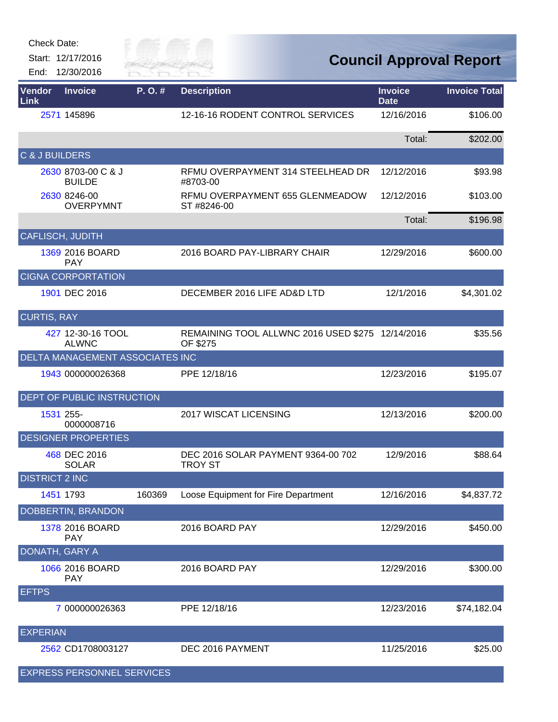| <b>Check Date:</b> |  |
|--------------------|--|
|--------------------|--|

Start: 12/17/2016 End: 12/30/2016



| Vendor<br>Link            | <b>Invoice</b>                      | P. O. # | <b>Description</b>                                           | <b>Invoice</b><br><b>Date</b> | <b>Invoice Total</b> |
|---------------------------|-------------------------------------|---------|--------------------------------------------------------------|-------------------------------|----------------------|
|                           | 2571 145896                         |         | 12-16-16 RODENT CONTROL SERVICES                             | 12/16/2016                    | \$106.00             |
|                           |                                     |         |                                                              | Total:                        | \$202.00             |
| <b>C &amp; J BUILDERS</b> |                                     |         |                                                              |                               |                      |
|                           | 2630 8703-00 C & J<br><b>BUILDE</b> |         | RFMU OVERPAYMENT 314 STEELHEAD DR<br>#8703-00                | 12/12/2016                    | \$93.98              |
|                           | 2630 8246-00<br><b>OVERPYMNT</b>    |         | RFMU OVERPAYMENT 655 GLENMEADOW<br>ST #8246-00               | 12/12/2016                    | \$103.00             |
|                           |                                     |         |                                                              | Total:                        | \$196.98             |
| <b>CAFLISCH, JUDITH</b>   |                                     |         |                                                              |                               |                      |
|                           | 1369 2016 BOARD<br><b>PAY</b>       |         | 2016 BOARD PAY-LIBRARY CHAIR                                 | 12/29/2016                    | \$600.00             |
|                           | <b>CIGNA CORPORTATION</b>           |         |                                                              |                               |                      |
|                           | 1901 DEC 2016                       |         | DECEMBER 2016 LIFE AD&D LTD                                  | 12/1/2016                     | \$4,301.02           |
| <b>CURTIS, RAY</b>        |                                     |         |                                                              |                               |                      |
|                           | 427 12-30-16 TOOL<br><b>ALWNC</b>   |         | REMAINING TOOL ALLWNC 2016 USED \$275 12/14/2016<br>OF \$275 |                               | \$35.56              |
|                           | DELTA MANAGEMENT ASSOCIATES INC     |         |                                                              |                               |                      |
|                           | 1943 000000026368                   |         | PPE 12/18/16                                                 | 12/23/2016                    | \$195.07             |
|                           | DEPT OF PUBLIC INSTRUCTION          |         |                                                              |                               |                      |
|                           | 1531 255-<br>0000008716             |         | 2017 WISCAT LICENSING                                        | 12/13/2016                    | \$200.00             |
|                           | <b>DESIGNER PROPERTIES</b>          |         |                                                              |                               |                      |
|                           | 468 DEC 2016<br><b>SOLAR</b>        |         | DEC 2016 SOLAR PAYMENT 9364-00 702<br><b>TROY ST</b>         | 12/9/2016                     | \$88.64              |
| <b>DISTRICT 2 INC</b>     |                                     |         |                                                              |                               |                      |
|                           | 1451 1793                           | 160369  | Loose Equipment for Fire Department                          | 12/16/2016                    | \$4,837.72           |
|                           | DOBBERTIN, BRANDON                  |         |                                                              |                               |                      |
|                           | 1378 2016 BOARD<br><b>PAY</b>       |         | 2016 BOARD PAY                                               | 12/29/2016                    | \$450.00             |
| DONATH, GARY A            |                                     |         |                                                              |                               |                      |
|                           | 1066 2016 BOARD<br><b>PAY</b>       |         | 2016 BOARD PAY                                               | 12/29/2016                    | \$300.00             |
| <b>EFTPS</b>              |                                     |         |                                                              |                               |                      |
|                           | 7 000000026363                      |         | PPE 12/18/16                                                 | 12/23/2016                    | \$74,182.04          |
| <b>EXPERIAN</b>           |                                     |         |                                                              |                               |                      |
|                           | 2562 CD1708003127                   |         | DEC 2016 PAYMENT                                             | 11/25/2016                    | \$25.00              |
|                           | EXPRESS PERSONNEL SERVICES          |         |                                                              |                               |                      |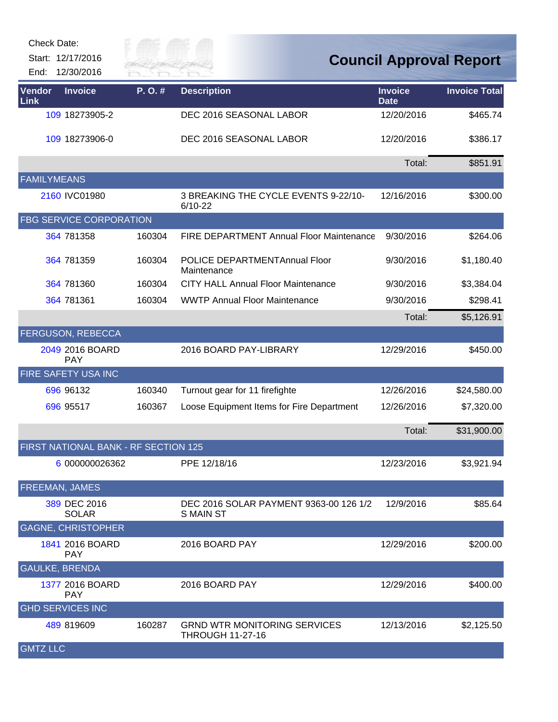Start: 12/17/2016 End: 12/30/2016



| Vendor<br>Link        | <b>Invoice</b>                       | P.O.#  | <b>Description</b>                                             | <b>Invoice</b><br><b>Date</b> | <b>Invoice Total</b> |
|-----------------------|--------------------------------------|--------|----------------------------------------------------------------|-------------------------------|----------------------|
|                       | 109 18273905-2                       |        | DEC 2016 SEASONAL LABOR                                        | 12/20/2016                    | \$465.74             |
|                       | 109 18273906-0                       |        | DEC 2016 SEASONAL LABOR                                        | 12/20/2016                    | \$386.17             |
|                       |                                      |        |                                                                | Total:                        | \$851.91             |
| <b>FAMILYMEANS</b>    |                                      |        |                                                                |                               |                      |
|                       | 2160 IVC01980                        |        | 3 BREAKING THE CYCLE EVENTS 9-22/10-<br>$6/10-22$              | 12/16/2016                    | \$300.00             |
|                       | <b>FBG SERVICE CORPORATION</b>       |        |                                                                |                               |                      |
|                       | 364 781358                           | 160304 | <b>FIRE DEPARTMENT Annual Floor Maintenance</b>                | 9/30/2016                     | \$264.06             |
|                       | 364 781359                           | 160304 | POLICE DEPARTMENTAnnual Floor<br>Maintenance                   | 9/30/2016                     | \$1,180.40           |
|                       | 364 781360                           | 160304 | <b>CITY HALL Annual Floor Maintenance</b>                      | 9/30/2016                     | \$3,384.04           |
|                       | 364 781361                           | 160304 | <b>WWTP Annual Floor Maintenance</b>                           | 9/30/2016                     | \$298.41             |
|                       |                                      |        |                                                                | Total:                        | \$5,126.91           |
|                       | <b>FERGUSON, REBECCA</b>             |        |                                                                |                               |                      |
|                       | 2049 2016 BOARD<br><b>PAY</b>        |        | 2016 BOARD PAY-LIBRARY                                         | 12/29/2016                    | \$450.00             |
|                       | FIRE SAFETY USA INC                  |        |                                                                |                               |                      |
|                       | 696 96132                            | 160340 | Turnout gear for 11 firefighte                                 | 12/26/2016                    | \$24,580.00          |
|                       | 696 95517                            | 160367 | Loose Equipment Items for Fire Department                      | 12/26/2016                    | \$7,320.00           |
|                       |                                      |        |                                                                | Total:                        | \$31,900.00          |
|                       | FIRST NATIONAL BANK - RF SECTION 125 |        |                                                                |                               |                      |
|                       | 6 000000026362                       |        | PPE 12/18/16                                                   | 12/23/2016                    | \$3,921.94           |
| FREEMAN, JAMES        |                                      |        |                                                                |                               |                      |
|                       | 389 DEC 2016<br><b>SOLAR</b>         |        | DEC 2016 SOLAR PAYMENT 9363-00 126 1/2<br><b>S MAIN ST</b>     | 12/9/2016                     | \$85.64              |
|                       | <b>GAGNE, CHRISTOPHER</b>            |        |                                                                |                               |                      |
|                       | 1841 2016 BOARD<br><b>PAY</b>        |        | 2016 BOARD PAY                                                 | 12/29/2016                    | \$200.00             |
| <b>GAULKE, BRENDA</b> |                                      |        |                                                                |                               |                      |
|                       | 1377 2016 BOARD<br><b>PAY</b>        |        | 2016 BOARD PAY                                                 | 12/29/2016                    | \$400.00             |
|                       | <b>GHD SERVICES INC</b>              |        |                                                                |                               |                      |
|                       | 489 819609                           | 160287 | <b>GRND WTR MONITORING SERVICES</b><br><b>THROUGH 11-27-16</b> | 12/13/2016                    | \$2,125.50           |
| <b>GMTZ LLC</b>       |                                      |        |                                                                |                               |                      |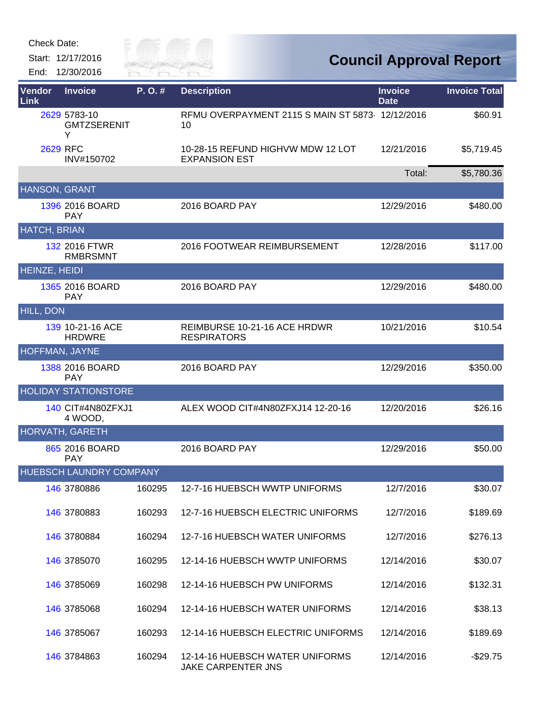Start: 12/17/2016 End: 12/30/2016



| Vendor<br><b>Link</b> | <b>Invoice</b>                          | P.O.#  | <b>Description</b>                                        | <b>Invoice</b><br><b>Date</b> | <b>Invoice Total</b> |
|-----------------------|-----------------------------------------|--------|-----------------------------------------------------------|-------------------------------|----------------------|
|                       | 2629 5783-10<br><b>GMTZSERENIT</b><br>Y |        | RFMU OVERPAYMENT 2115 S MAIN ST 5873 12/12/2016<br>10     |                               | \$60.91              |
|                       | <b>2629 RFC</b><br>INV#150702           |        | 10-28-15 REFUND HIGHVW MDW 12 LOT<br><b>EXPANSION EST</b> | 12/21/2016                    | \$5,719.45           |
|                       |                                         |        |                                                           | Total:                        | \$5,780.36           |
| HANSON, GRANT         |                                         |        |                                                           |                               |                      |
|                       | 1396 2016 BOARD<br><b>PAY</b>           |        | 2016 BOARD PAY                                            | 12/29/2016                    | \$480.00             |
| <b>HATCH, BRIAN</b>   |                                         |        |                                                           |                               |                      |
|                       | 132 2016 FTWR<br><b>RMBRSMNT</b>        |        | 2016 FOOTWEAR REIMBURSEMENT                               | 12/28/2016                    | \$117.00             |
| <b>HEINZE, HEIDI</b>  |                                         |        |                                                           |                               |                      |
|                       | 1365 2016 BOARD<br><b>PAY</b>           |        | 2016 BOARD PAY                                            | 12/29/2016                    | \$480.00             |
| <b>HILL, DON</b>      |                                         |        |                                                           |                               |                      |
|                       | 139 10-21-16 ACE<br><b>HRDWRE</b>       |        | REIMBURSE 10-21-16 ACE HRDWR<br><b>RESPIRATORS</b>        | 10/21/2016                    | \$10.54              |
| <b>HOFFMAN, JAYNE</b> |                                         |        |                                                           |                               |                      |
|                       | 1388 2016 BOARD<br><b>PAY</b>           |        | 2016 BOARD PAY                                            | 12/29/2016                    | \$350.00             |
|                       | <b>HOLIDAY STATIONSTORE</b>             |        |                                                           |                               |                      |
|                       | 140 CIT#4N80ZFXJ1<br>4 WOOD,            |        | ALEX WOOD CIT#4N80ZFXJ14 12-20-16                         | 12/20/2016                    | \$26.16              |
|                       | <b>HORVATH, GARETH</b>                  |        |                                                           |                               |                      |
|                       | 865 2016 BOARD<br><b>PAY</b>            |        | 2016 BOARD PAY                                            | 12/29/2016                    | \$50.00              |
|                       | <b>HUEBSCH LAUNDRY COMPANY</b>          |        |                                                           |                               |                      |
|                       | 146 3780886                             | 160295 | 12-7-16 HUEBSCH WWTP UNIFORMS                             | 12/7/2016                     | \$30.07              |
|                       | 146 3780883                             | 160293 | 12-7-16 HUEBSCH ELECTRIC UNIFORMS                         | 12/7/2016                     | \$189.69             |
|                       | 146 3780884                             | 160294 | 12-7-16 HUEBSCH WATER UNIFORMS                            | 12/7/2016                     | \$276.13             |
|                       | 146 3785070                             | 160295 | 12-14-16 HUEBSCH WWTP UNIFORMS                            | 12/14/2016                    | \$30.07              |
|                       | 146 3785069                             | 160298 | 12-14-16 HUEBSCH PW UNIFORMS                              | 12/14/2016                    | \$132.31             |
|                       | 146 3785068                             | 160294 | 12-14-16 HUEBSCH WATER UNIFORMS                           | 12/14/2016                    | \$38.13              |
|                       | 146 3785067                             | 160293 | 12-14-16 HUEBSCH ELECTRIC UNIFORMS                        | 12/14/2016                    | \$189.69             |
|                       | 146 3784863                             | 160294 | 12-14-16 HUEBSCH WATER UNIFORMS<br>JAKE CARPENTER JNS     | 12/14/2016                    | $-$29.75$            |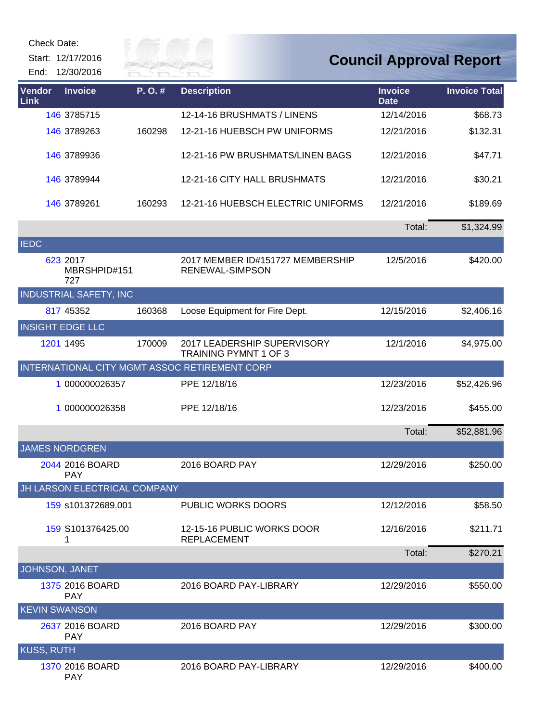Start: 12/17/2016





| Vendor<br>Link       | <b>Invoice</b>                  | P.O.#  | <b>Description</b>                                          | <b>Invoice</b><br><b>Date</b> | <b>Invoice Total</b> |
|----------------------|---------------------------------|--------|-------------------------------------------------------------|-------------------------------|----------------------|
|                      | 146 3785715                     |        | 12-14-16 BRUSHMATS / LINENS                                 | 12/14/2016                    | \$68.73              |
|                      | 146 3789263                     | 160298 | 12-21-16 HUEBSCH PW UNIFORMS                                | 12/21/2016                    | \$132.31             |
|                      | 146 3789936                     |        | 12-21-16 PW BRUSHMATS/LINEN BAGS                            | 12/21/2016                    | \$47.71              |
|                      | 146 3789944                     |        | 12-21-16 CITY HALL BRUSHMATS                                | 12/21/2016                    | \$30.21              |
|                      | 146 3789261                     | 160293 | 12-21-16 HUEBSCH ELECTRIC UNIFORMS                          | 12/21/2016                    | \$189.69             |
|                      |                                 |        |                                                             | Total:                        | \$1,324.99           |
| <b>IEDC</b>          |                                 |        |                                                             |                               |                      |
|                      | 623 2017<br>MBRSHPID#151<br>727 |        | 2017 MEMBER ID#151727 MEMBERSHIP<br>RENEWAL-SIMPSON         | 12/5/2016                     | \$420.00             |
|                      | <b>INDUSTRIAL SAFETY, INC</b>   |        |                                                             |                               |                      |
|                      | 817 45352                       | 160368 | Loose Equipment for Fire Dept.                              | 12/15/2016                    | \$2,406.16           |
|                      | <b>INSIGHT EDGE LLC</b>         |        |                                                             |                               |                      |
|                      | 1201 1495                       | 170009 | 2017 LEADERSHIP SUPERVISORY<br><b>TRAINING PYMNT 1 OF 3</b> | 12/1/2016                     | \$4,975.00           |
|                      |                                 |        | INTERNATIONAL CITY MGMT ASSOC RETIREMENT CORP               |                               |                      |
|                      | 1 000000026357                  |        | PPE 12/18/16                                                | 12/23/2016                    | \$52,426.96          |
|                      | 1 000000026358                  |        | PPE 12/18/16                                                | 12/23/2016                    | \$455.00             |
|                      |                                 |        |                                                             | Total:                        | \$52,881.96          |
|                      | <b>JAMES NORDGREN</b>           |        |                                                             |                               |                      |
|                      | 2044 2016 BOARD<br><b>PAY</b>   |        | 2016 BOARD PAY                                              | 12/29/2016                    | \$250.00             |
|                      | JH LARSON ELECTRICAL COMPANY    |        |                                                             |                               |                      |
|                      | 159 s101372689.001              |        | <b>PUBLIC WORKS DOORS</b>                                   | 12/12/2016                    | \$58.50              |
|                      | 159 S101376425.00<br>1          |        | 12-15-16 PUBLIC WORKS DOOR<br><b>REPLACEMENT</b>            | 12/16/2016                    | \$211.71             |
|                      |                                 |        |                                                             | Total:                        | \$270.21             |
| JOHNSON, JANET       |                                 |        |                                                             |                               |                      |
|                      | 1375 2016 BOARD<br><b>PAY</b>   |        | 2016 BOARD PAY-LIBRARY                                      | 12/29/2016                    | \$550.00             |
| <b>KEVIN SWANSON</b> |                                 |        |                                                             |                               |                      |
|                      | 2637 2016 BOARD<br><b>PAY</b>   |        | 2016 BOARD PAY                                              | 12/29/2016                    | \$300.00             |
| <b>KUSS, RUTH</b>    |                                 |        |                                                             |                               |                      |
|                      | 1370 2016 BOARD<br><b>PAY</b>   |        | 2016 BOARD PAY-LIBRARY                                      | 12/29/2016                    | \$400.00             |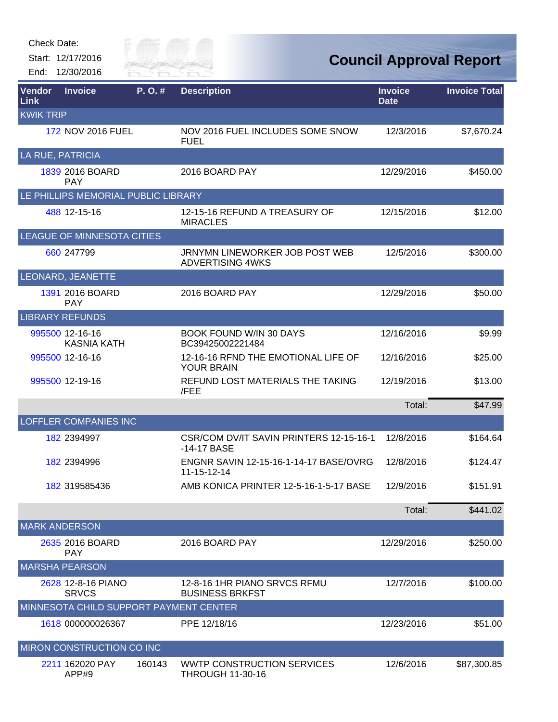Start: 12/17/2016 End: 12/30/2016



| Vendor<br><b>Link</b> | <b>Invoice</b>                         | P.O.#  | <b>Description</b>                                           | <b>Invoice</b><br><b>Date</b> | <b>Invoice Total</b> |
|-----------------------|----------------------------------------|--------|--------------------------------------------------------------|-------------------------------|----------------------|
| <b>KWIK TRIP</b>      |                                        |        |                                                              |                               |                      |
|                       | 172 NOV 2016 FUEL                      |        | NOV 2016 FUEL INCLUDES SOME SNOW<br><b>FUEL</b>              | 12/3/2016                     | \$7,670.24           |
| LA RUE, PATRICIA      |                                        |        |                                                              |                               |                      |
|                       | 1839 2016 BOARD<br><b>PAY</b>          |        | 2016 BOARD PAY                                               | 12/29/2016                    | \$450.00             |
|                       | LE PHILLIPS MEMORIAL PUBLIC LIBRARY    |        |                                                              |                               |                      |
|                       | 488 12-15-16                           |        | 12-15-16 REFUND A TREASURY OF<br><b>MIRACLES</b>             | 12/15/2016                    | \$12.00              |
|                       | LEAGUE OF MINNESOTA CITIES             |        |                                                              |                               |                      |
|                       | 660 247799                             |        | JRNYMN LINEWORKER JOB POST WEB<br><b>ADVERTISING 4WKS</b>    | 12/5/2016                     | \$300.00             |
|                       | LEONARD, JEANETTE                      |        |                                                              |                               |                      |
|                       | 1391 2016 BOARD<br><b>PAY</b>          |        | 2016 BOARD PAY                                               | 12/29/2016                    | \$50.00              |
|                       | <b>LIBRARY REFUNDS</b>                 |        |                                                              |                               |                      |
|                       | 995500 12-16-16<br><b>KASNIA KATH</b>  |        | <b>BOOK FOUND W/IN 30 DAYS</b><br>BC39425002221484           | 12/16/2016                    | \$9.99               |
|                       | 995500 12-16-16                        |        | 12-16-16 RFND THE EMOTIONAL LIFE OF<br><b>YOUR BRAIN</b>     | 12/16/2016                    | \$25.00              |
|                       | 995500 12-19-16                        |        | REFUND LOST MATERIALS THE TAKING<br>/FEE                     | 12/19/2016                    | \$13.00              |
|                       |                                        |        |                                                              | Total:                        | \$47.99              |
|                       | <b>LOFFLER COMPANIES INC</b>           |        |                                                              |                               |                      |
|                       | 182 2394997                            |        | CSR/COM DV/IT SAVIN PRINTERS 12-15-16-1<br>-14-17 BASE       | 12/8/2016                     | \$164.64             |
|                       | 182 2394996                            |        | ENGNR SAVIN 12-15-16-1-14-17 BASE/OVRG<br>11-15-12-14        | 12/8/2016                     | \$124.47             |
|                       | 182 319585436                          |        | AMB KONICA PRINTER 12-5-16-1-5-17 BASE                       | 12/9/2016                     | \$151.91             |
|                       |                                        |        |                                                              | Total:                        | \$441.02             |
| <b>MARK ANDERSON</b>  |                                        |        |                                                              |                               |                      |
|                       | 2635 2016 BOARD<br><b>PAY</b>          |        | 2016 BOARD PAY                                               | 12/29/2016                    | \$250.00             |
|                       | <b>MARSHA PEARSON</b>                  |        |                                                              |                               |                      |
|                       | 2628 12-8-16 PIANO<br><b>SRVCS</b>     |        | 12-8-16 1HR PIANO SRVCS RFMU<br><b>BUSINESS BRKFST</b>       | 12/7/2016                     | \$100.00             |
|                       | MINNESOTA CHILD SUPPORT PAYMENT CENTER |        |                                                              |                               |                      |
|                       | 1618 000000026367                      |        | PPE 12/18/16                                                 | 12/23/2016                    | \$51.00              |
|                       | MIRON CONSTRUCTION CO INC              |        |                                                              |                               |                      |
|                       | 2211 162020 PAY<br>APP#9               | 160143 | <b>WWTP CONSTRUCTION SERVICES</b><br><b>THROUGH 11-30-16</b> | 12/6/2016                     | \$87,300.85          |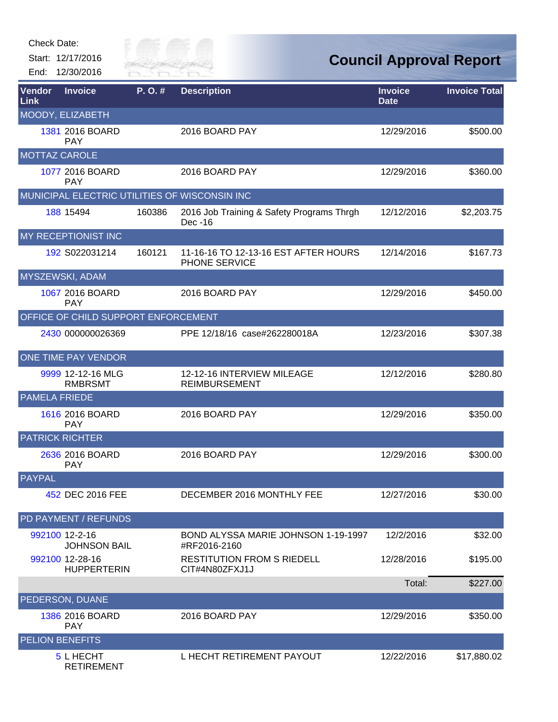Start: 12/17/2016 End: 12/30/2016



# **Council Approval Report**

| Vendor<br>Link       | <b>Invoice</b>                        | P. O. # | <b>Description</b>                                    | <b>Invoice</b><br><b>Date</b> | <b>Invoice Total</b> |
|----------------------|---------------------------------------|---------|-------------------------------------------------------|-------------------------------|----------------------|
|                      | MOODY, ELIZABETH                      |         |                                                       |                               |                      |
|                      | 1381 2016 BOARD<br><b>PAY</b>         |         | 2016 BOARD PAY                                        | 12/29/2016                    | \$500.00             |
| <b>MOTTAZ CAROLE</b> |                                       |         |                                                       |                               |                      |
|                      | 1077 2016 BOARD<br><b>PAY</b>         |         | 2016 BOARD PAY                                        | 12/29/2016                    | \$360.00             |
|                      |                                       |         | MUNICIPAL ELECTRIC UTILITIES OF WISCONSIN INC         |                               |                      |
|                      | 188 15494                             | 160386  | 2016 Job Training & Safety Programs Thrgh<br>Dec -16  | 12/12/2016                    | \$2,203.75           |
|                      | MY RECEPTIONIST INC                   |         |                                                       |                               |                      |
|                      | 192 S022031214                        | 160121  | 11-16-16 TO 12-13-16 EST AFTER HOURS<br>PHONE SERVICE | 12/14/2016                    | \$167.73             |
|                      | <b>MYSZEWSKI, ADAM</b>                |         |                                                       |                               |                      |
|                      | 1067 2016 BOARD<br><b>PAY</b>         |         | 2016 BOARD PAY                                        | 12/29/2016                    | \$450.00             |
|                      | OFFICE OF CHILD SUPPORT ENFORCEMENT   |         |                                                       |                               |                      |
|                      | 2430 000000026369                     |         | PPE 12/18/16 case#262280018A                          | 12/23/2016                    | \$307.38             |
|                      | ONE TIME PAY VENDOR                   |         |                                                       |                               |                      |
|                      | 9999 12-12-16 MLG<br><b>RMBRSMT</b>   |         | 12-12-16 INTERVIEW MILEAGE<br><b>REIMBURSEMENT</b>    | 12/12/2016                    | \$280.80             |
| <b>PAMELA FRIEDE</b> |                                       |         |                                                       |                               |                      |
|                      | 1616 2016 BOARD<br><b>PAY</b>         |         | 2016 BOARD PAY                                        | 12/29/2016                    | \$350.00             |
|                      | <b>PATRICK RICHTER</b>                |         |                                                       |                               |                      |
|                      | 2636 2016 BOARD<br><b>PAY</b>         |         | 2016 BOARD PAY                                        | 12/29/2016                    | \$300.00             |
| <b>PAYPAL</b>        |                                       |         |                                                       |                               |                      |
|                      | 452 DEC 2016 FEE                      |         | DECEMBER 2016 MONTHLY FEE                             | 12/27/2016                    | \$30.00              |
|                      | <b>PD PAYMENT / REFUNDS</b>           |         |                                                       |                               |                      |
|                      | 992100 12-2-16<br><b>JOHNSON BAIL</b> |         | BOND ALYSSA MARIE JOHNSON 1-19-1997<br>#RF2016-2160   | 12/2/2016                     | \$32.00              |
|                      | 992100 12-28-16<br><b>HUPPERTERIN</b> |         | <b>RESTITUTION FROM S RIEDELL</b><br>CIT#4N80ZFXJ1J   | 12/28/2016                    | \$195.00             |
|                      |                                       |         |                                                       | Total:                        | \$227.00             |
|                      | PEDERSON, DUANE                       |         |                                                       |                               |                      |
|                      | 1386 2016 BOARD<br><b>PAY</b>         |         | 2016 BOARD PAY                                        | 12/29/2016                    | \$350.00             |
|                      | <b>PELION BENEFITS</b>                |         |                                                       |                               |                      |
|                      | 5 L HECHT                             |         | L HECHT RETIREMENT PAYOUT                             | 12/22/2016                    | \$17,880.02          |

RETIREMENT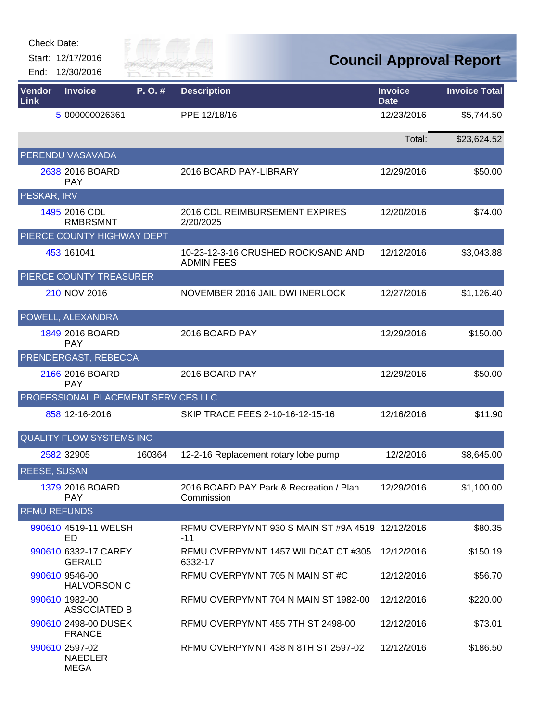| <b>Check Date:</b> |  |
|--------------------|--|
|--------------------|--|

Start: 12/17/2016 End: 12/30/2016



| Vendor<br>Link      | <b>Invoice</b>                                  | P.O.#  | <b>Description</b>                                        | <b>Invoice</b><br><b>Date</b> | <b>Invoice Total</b> |
|---------------------|-------------------------------------------------|--------|-----------------------------------------------------------|-------------------------------|----------------------|
|                     | 5 000000026361                                  |        | PPE 12/18/16                                              | 12/23/2016                    | \$5,744.50           |
|                     |                                                 |        |                                                           | Total:                        | \$23,624.52          |
|                     | PERENDU VASAVADA                                |        |                                                           |                               |                      |
|                     | 2638 2016 BOARD<br><b>PAY</b>                   |        | 2016 BOARD PAY-LIBRARY                                    | 12/29/2016                    | \$50.00              |
| PESKAR, IRV         |                                                 |        |                                                           |                               |                      |
|                     | 1495 2016 CDL<br><b>RMBRSMNT</b>                |        | 2016 CDL REIMBURSEMENT EXPIRES<br>2/20/2025               | 12/20/2016                    | \$74.00              |
|                     | PIERCE COUNTY HIGHWAY DEPT                      |        |                                                           |                               |                      |
|                     | 453 161041                                      |        | 10-23-12-3-16 CRUSHED ROCK/SAND AND<br><b>ADMIN FEES</b>  | 12/12/2016                    | \$3,043.88           |
|                     | PIERCE COUNTY TREASURER                         |        |                                                           |                               |                      |
|                     | 210 NOV 2016                                    |        | NOVEMBER 2016 JAIL DWI INERLOCK                           | 12/27/2016                    | \$1,126.40           |
|                     | POWELL, ALEXANDRA                               |        |                                                           |                               |                      |
|                     | 1849 2016 BOARD<br><b>PAY</b>                   |        | 2016 BOARD PAY                                            | 12/29/2016                    | \$150.00             |
|                     | PRENDERGAST, REBECCA                            |        |                                                           |                               |                      |
|                     | 2166 2016 BOARD<br><b>PAY</b>                   |        | 2016 BOARD PAY                                            | 12/29/2016                    | \$50.00              |
|                     | PROFESSIONAL PLACEMENT SERVICES LLC             |        |                                                           |                               |                      |
|                     | 858 12-16-2016                                  |        | SKIP TRACE FEES 2-10-16-12-15-16                          | 12/16/2016                    | \$11.90              |
|                     | <b>QUALITY FLOW SYSTEMS INC</b>                 |        |                                                           |                               |                      |
|                     | 2582 32905                                      | 160364 | 12-2-16 Replacement rotary lobe pump                      | 12/2/2016                     | \$8,645.00           |
| <b>REESE, SUSAN</b> |                                                 |        |                                                           |                               |                      |
|                     | 1379 2016 BOARD<br><b>PAY</b>                   |        | 2016 BOARD PAY Park & Recreation / Plan<br>Commission     | 12/29/2016                    | \$1,100.00           |
| <b>RFMU REFUNDS</b> |                                                 |        |                                                           |                               |                      |
|                     | 990610 4519-11 WELSH<br>ED                      |        | RFMU OVERPYMNT 930 S MAIN ST #9A 4519 12/12/2016<br>$-11$ |                               | \$80.35              |
|                     | 990610 6332-17 CAREY<br><b>GERALD</b>           |        | RFMU OVERPYMNT 1457 WILDCAT CT #305<br>6332-17            | 12/12/2016                    | \$150.19             |
|                     | 990610 9546-00<br><b>HALVORSON C</b>            |        | RFMU OVERPYMNT 705 N MAIN ST #C                           | 12/12/2016                    | \$56.70              |
|                     | 990610 1982-00<br><b>ASSOCIATED B</b>           |        | REMU OVERPYMNT 704 N MAIN ST 1982-00                      | 12/12/2016                    | \$220.00             |
|                     | 990610 2498-00 DUSEK<br><b>FRANCE</b>           |        | RFMU OVERPYMNT 455 7TH ST 2498-00                         | 12/12/2016                    | \$73.01              |
|                     | 990610 2597-02<br><b>NAEDLER</b><br><b>MEGA</b> |        | RFMU OVERPYMNT 438 N 8TH ST 2597-02                       | 12/12/2016                    | \$186.50             |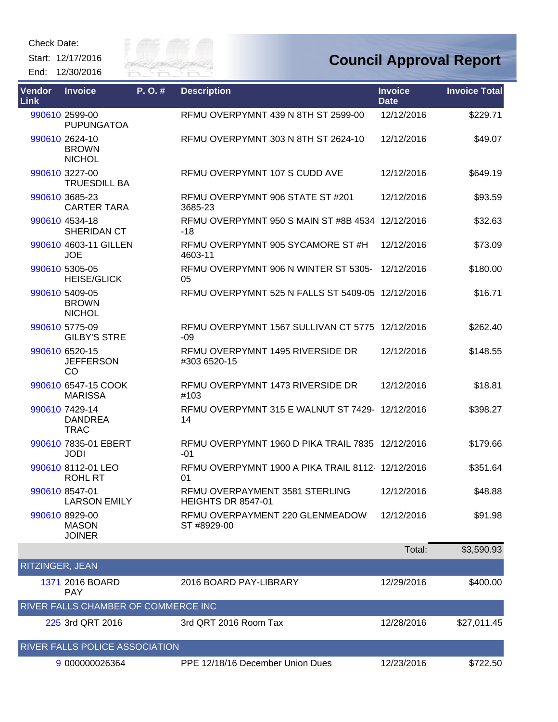Start: 12/17/2016 End: 12/30/2016



| <b>Vendor</b><br><b>Link</b> | <b>Invoice</b>                                  | P.O.# | <b>Description</b>                                          | <b>Invoice</b><br><b>Date</b> | <b>Invoice Total</b> |
|------------------------------|-------------------------------------------------|-------|-------------------------------------------------------------|-------------------------------|----------------------|
|                              | 990610 2599-00<br><b>PUPUNGATOA</b>             |       | RFMU OVERPYMNT 439 N 8TH ST 2599-00                         | 12/12/2016                    | \$229.71             |
|                              | 990610 2624-10<br><b>BROWN</b><br><b>NICHOL</b> |       | RFMU OVERPYMNT 303 N 8TH ST 2624-10                         | 12/12/2016                    | \$49.07              |
|                              | 990610 3227-00<br><b>TRUESDILL BA</b>           |       | RFMU OVERPYMNT 107 S CUDD AVE                               | 12/12/2016                    | \$649.19             |
|                              | 990610 3685-23<br><b>CARTER TARA</b>            |       | RFMU OVERPYMNT 906 STATE ST #201<br>3685-23                 | 12/12/2016                    | \$93.59              |
|                              | 990610 4534-18<br>SHERIDAN CT                   |       | RFMU OVERPYMNT 950 S MAIN ST #8B 4534 12/12/2016<br>$-18$   |                               | \$32.63              |
|                              | 990610 4603-11 GILLEN<br><b>JOE</b>             |       | RFMU OVERPYMNT 905 SYCAMORE ST#H<br>4603-11                 | 12/12/2016                    | \$73.09              |
|                              | 990610 5305-05<br><b>HEISE/GLICK</b>            |       | RFMU OVERPYMNT 906 N WINTER ST 5305-<br>05                  | 12/12/2016                    | \$180.00             |
|                              | 990610 5409-05<br><b>BROWN</b><br><b>NICHOL</b> |       | RFMU OVERPYMNT 525 N FALLS ST 5409-05 12/12/2016            |                               | \$16.71              |
|                              | 990610 5775-09<br><b>GILBY'S STRE</b>           |       | RFMU OVERPYMNT 1567 SULLIVAN CT 5775 12/12/2016<br>$-09$    |                               | \$262.40             |
|                              | 990610 6520-15<br><b>JEFFERSON</b><br><b>CO</b> |       | RFMU OVERPYMNT 1495 RIVERSIDE DR<br>#303 6520-15            | 12/12/2016                    | \$148.55             |
|                              | 990610 6547-15 COOK<br><b>MARISSA</b>           |       | RFMU OVERPYMNT 1473 RIVERSIDE DR<br>#103                    | 12/12/2016                    | \$18.81              |
|                              | 990610 7429-14<br><b>DANDREA</b><br><b>TRAC</b> |       | RFMU OVERPYMNT 315 E WALNUT ST 7429- 12/12/2016<br>14       |                               | \$398.27             |
|                              | 990610 7835-01 EBERT<br><b>JODI</b>             |       | RFMU OVERPYMNT 1960 D PIKA TRAIL 7835 12/12/2016<br>$-01$   |                               | \$179.66             |
|                              | 990610 8112-01 LEO<br><b>ROHL RT</b>            |       | RFMU OVERPYMNT 1900 A PIKA TRAIL 8112-12/12/2016<br>01      |                               | \$351.64             |
|                              | 990610 8547-01<br><b>LARSON EMILY</b>           |       | RFMU OVERPAYMENT 3581 STERLING<br><b>HEIGHTS DR 8547-01</b> | 12/12/2016                    | \$48.88              |
|                              | 990610 8929-00<br><b>MASON</b><br><b>JOINER</b> |       | RFMU OVERPAYMENT 220 GLENMEADOW<br>ST #8929-00              | 12/12/2016                    | \$91.98              |
|                              |                                                 |       |                                                             | Total:                        | \$3,590.93           |
| RITZINGER, JEAN              |                                                 |       |                                                             |                               |                      |
|                              | 1371 2016 BOARD<br><b>PAY</b>                   |       | 2016 BOARD PAY-LIBRARY                                      | 12/29/2016                    | \$400.00             |
|                              | RIVER FALLS CHAMBER OF COMMERCE INC             |       |                                                             |                               |                      |
|                              | 225 3rd QRT 2016                                |       | 3rd QRT 2016 Room Tax                                       | 12/28/2016                    | \$27,011.45          |
|                              | RIVER FALLS POLICE ASSOCIATION                  |       |                                                             |                               |                      |
|                              | 9 000000026364                                  |       | PPE 12/18/16 December Union Dues                            | 12/23/2016                    | \$722.50             |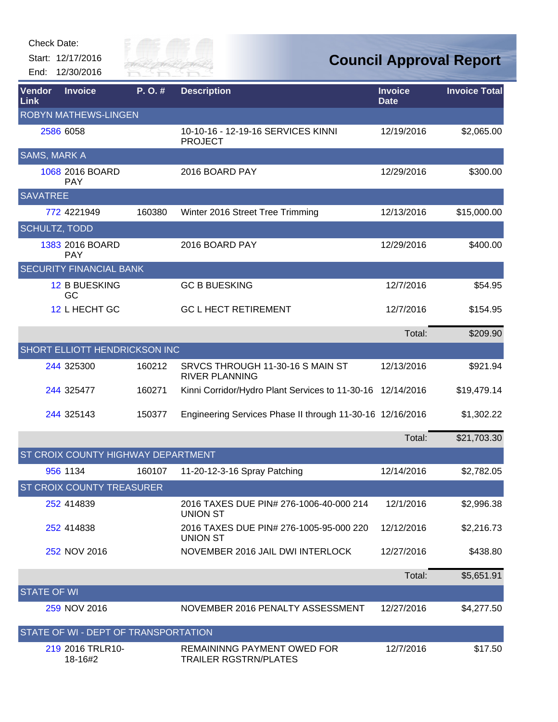Start: 12/17/2016 End: 12/30/2016



| Vendor<br>Link                       | <b>Invoice</b>                       | P.O.#  | <b>Description</b>                                                 | <b>Invoice</b><br><b>Date</b> | <b>Invoice Total</b> |  |  |
|--------------------------------------|--------------------------------------|--------|--------------------------------------------------------------------|-------------------------------|----------------------|--|--|
| <b>ROBYN MATHEWS-LINGEN</b>          |                                      |        |                                                                    |                               |                      |  |  |
|                                      | 2586 6058                            |        | 10-10-16 - 12-19-16 SERVICES KINNI<br><b>PROJECT</b>               | 12/19/2016                    | \$2,065.00           |  |  |
| <b>SAMS, MARK A</b>                  |                                      |        |                                                                    |                               |                      |  |  |
|                                      | 1068 2016 BOARD<br><b>PAY</b>        |        | 2016 BOARD PAY                                                     | 12/29/2016                    | \$300.00             |  |  |
| <b>SAVATREE</b>                      |                                      |        |                                                                    |                               |                      |  |  |
|                                      | 772 4221949                          | 160380 | Winter 2016 Street Tree Trimming                                   | 12/13/2016                    | \$15,000.00          |  |  |
| <b>SCHULTZ, TODD</b>                 |                                      |        |                                                                    |                               |                      |  |  |
|                                      | 1383 2016 BOARD<br><b>PAY</b>        |        | 2016 BOARD PAY                                                     | 12/29/2016                    | \$400.00             |  |  |
|                                      | <b>SECURITY FINANCIAL BANK</b>       |        |                                                                    |                               |                      |  |  |
|                                      | <b>12 B BUESKING</b><br>GC           |        | <b>GC B BUESKING</b>                                               | 12/7/2016                     | \$54.95              |  |  |
|                                      | 12 L HECHT GC                        |        | <b>GC L HECT RETIREMENT</b>                                        | 12/7/2016                     | \$154.95             |  |  |
|                                      |                                      |        |                                                                    | Total:                        | \$209.90             |  |  |
|                                      | <b>SHORT ELLIOTT HENDRICKSON INC</b> |        |                                                                    |                               |                      |  |  |
|                                      | 244 325300                           | 160212 | SRVCS THROUGH 11-30-16 S MAIN ST<br><b>RIVER PLANNING</b>          | 12/13/2016                    | \$921.94             |  |  |
|                                      | 244 325477                           | 160271 | Kinni Corridor/Hydro Plant Services to 11-30-16 12/14/2016         |                               | \$19,479.14          |  |  |
|                                      | 244 325143                           | 150377 | Engineering Services Phase II through 11-30-16 12/16/2016          |                               | \$1,302.22           |  |  |
|                                      |                                      |        |                                                                    | Total:                        | \$21,703.30          |  |  |
| ST CROIX COUNTY HIGHWAY DEPARTMENT   |                                      |        |                                                                    |                               |                      |  |  |
|                                      | 956 1134                             | 160107 | 11-20-12-3-16 Spray Patching                                       | 12/14/2016                    | \$2,782.05           |  |  |
|                                      | <b>ST CROIX COUNTY TREASURER</b>     |        |                                                                    |                               |                      |  |  |
|                                      | 252 414839                           |        | 2016 TAXES DUE PIN# 276-1006-40-000 214<br><b>UNION ST</b>         | 12/1/2016                     | \$2,996.38           |  |  |
|                                      | 252 414838                           |        | 2016 TAXES DUE PIN# 276-1005-95-000 220<br><b>UNION ST</b>         | 12/12/2016                    | \$2,216.73           |  |  |
|                                      | 252 NOV 2016                         |        | NOVEMBER 2016 JAIL DWI INTERLOCK                                   | 12/27/2016                    | \$438.80             |  |  |
|                                      |                                      |        |                                                                    | Total:                        | \$5,651.91           |  |  |
| <b>STATE OF WI</b>                   |                                      |        |                                                                    |                               |                      |  |  |
|                                      | 259 NOV 2016                         |        | NOVEMBER 2016 PENALTY ASSESSMENT                                   | 12/27/2016                    | \$4,277.50           |  |  |
| STATE OF WI - DEPT OF TRANSPORTATION |                                      |        |                                                                    |                               |                      |  |  |
|                                      | 219 2016 TRLR10-<br>18-16#2          |        | <b>REMAININNG PAYMENT OWED FOR</b><br><b>TRAILER RGSTRN/PLATES</b> | 12/7/2016                     | \$17.50              |  |  |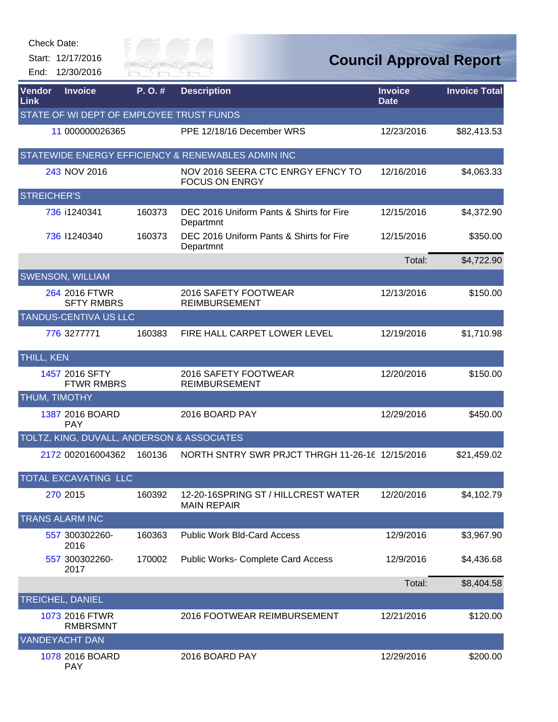|                    | Check Date:                                |                      |                                                            |                               |                                |
|--------------------|--------------------------------------------|----------------------|------------------------------------------------------------|-------------------------------|--------------------------------|
|                    | Start: 12/17/2016<br>End: 12/30/2016       | City of<br>River Fai |                                                            |                               | <b>Council Approval Report</b> |
| Vendor<br>Link     | <b>Invoice</b>                             | P.O.#                | <b>Description</b>                                         | <b>Invoice</b><br><b>Date</b> | <b>Invoice Total</b>           |
|                    | STATE OF WI DEPT OF EMPLOYEE TRUST FUNDS   |                      |                                                            |                               |                                |
|                    | 11 000000026365                            |                      | PPE 12/18/16 December WRS                                  | 12/23/2016                    | \$82,413.53                    |
|                    |                                            |                      | STATEWIDE ENERGY EFFICIENCY & RENEWABLES ADMIN INC         |                               |                                |
|                    | 243 NOV 2016                               |                      | NOV 2016 SEERA CTC ENRGY EFNCY TO<br><b>FOCUS ON ENRGY</b> | 12/16/2016                    | \$4,063.33                     |
| <b>STREICHER'S</b> |                                            |                      |                                                            |                               |                                |
|                    | 736 i1240341                               | 160373               | DEC 2016 Uniform Pants & Shirts for Fire<br>Departmnt      | 12/15/2016                    | \$4,372.90                     |
|                    | 736 11240340                               | 160373               | DEC 2016 Uniform Pants & Shirts for Fire<br>Departmnt      | 12/15/2016                    | \$350.00                       |
|                    |                                            |                      |                                                            | Total:                        | \$4,722.90                     |
|                    | <b>SWENSON, WILLIAM</b>                    |                      |                                                            |                               |                                |
|                    | 264 2016 FTWR<br><b>SFTY RMBRS</b>         |                      | 2016 SAFETY FOOTWEAR<br><b>REIMBURSEMENT</b>               | 12/13/2016                    | \$150.00                       |
|                    | TANDUS-CENTIVA US LLC                      |                      |                                                            |                               |                                |
|                    | 776 3277771                                | 160383               | FIRE HALL CARPET LOWER LEVEL                               | 12/19/2016                    | \$1,710.98                     |
| <b>THILL, KEN</b>  |                                            |                      |                                                            |                               |                                |
|                    | 1457 2016 SFTY<br><b>FTWR RMBRS</b>        |                      | 2016 SAFETY FOOTWEAR<br><b>REIMBURSEMENT</b>               | 12/20/2016                    | \$150.00                       |
|                    | <b>THUM, TIMOTHY</b>                       |                      |                                                            |                               |                                |
|                    | 1387 2016 BOARD<br><b>PAY</b>              |                      | 2016 BOARD PAY                                             | 12/29/2016                    | \$450.00                       |
|                    | TOLTZ, KING, DUVALL, ANDERSON & ASSOCIATES |                      |                                                            |                               |                                |
|                    | 2172 002016004362                          | 160136               | NORTH SNTRY SWR PRJCT THRGH 11-26-16 12/15/2016            |                               | \$21,459.02                    |
|                    | TOTAL EXCAVATING LLC                       |                      |                                                            |                               |                                |
|                    | 270 2015                                   | 160392               | 12-20-16SPRING ST / HILLCREST WATER<br><b>MAIN REPAIR</b>  | 12/20/2016                    | \$4,102.79                     |
|                    | <b>TRANS ALARM INC</b>                     |                      |                                                            |                               |                                |
|                    | 557 300302260-<br>2016                     | 160363               | <b>Public Work Bld-Card Access</b>                         | 12/9/2016                     | \$3,967.90                     |
|                    | 557 300302260-<br>2017                     | 170002               | Public Works- Complete Card Access                         | 12/9/2016                     | \$4,436.68                     |
|                    |                                            |                      |                                                            | Total:                        | \$8,404.58                     |
|                    | <b>TREICHEL, DANIEL</b>                    |                      |                                                            |                               |                                |
|                    | 1073 2016 FTWR<br><b>RMBRSMNT</b>          |                      | 2016 FOOTWEAR REIMBURSEMENT                                | 12/21/2016                    | \$120.00                       |
|                    | <b>VANDEYACHT DAN</b>                      |                      |                                                            |                               |                                |
|                    | 1078 2016 BOARD<br><b>PAY</b>              |                      | 2016 BOARD PAY                                             | 12/29/2016                    | \$200.00                       |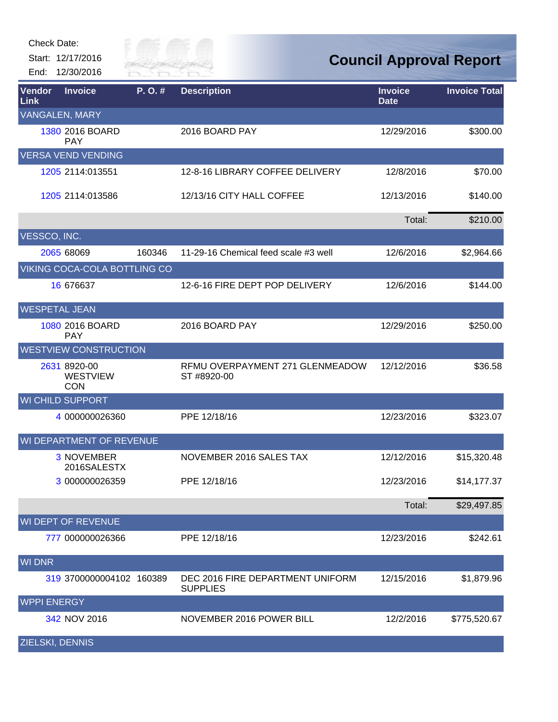Start: 12/17/2016 End: 12/30/2016



| Vendor<br>Link         | <b>Invoice</b>                                | P.O.#  | <b>Description</b>                                  | <b>Invoice</b><br><b>Date</b> | <b>Invoice Total</b> |
|------------------------|-----------------------------------------------|--------|-----------------------------------------------------|-------------------------------|----------------------|
|                        | <b>VANGALEN, MARY</b>                         |        |                                                     |                               |                      |
|                        | 1380 2016 BOARD<br><b>PAY</b>                 |        | 2016 BOARD PAY                                      | 12/29/2016                    | \$300.00             |
|                        | <b>VERSA VEND VENDING</b>                     |        |                                                     |                               |                      |
|                        | 1205 2114:013551                              |        | 12-8-16 LIBRARY COFFEE DELIVERY                     | 12/8/2016                     | \$70.00              |
|                        | 1205 2114:013586                              |        | 12/13/16 CITY HALL COFFEE                           | 12/13/2016                    | \$140.00             |
|                        |                                               |        |                                                     | Total:                        | \$210.00             |
| VESSCO, INC.           |                                               |        |                                                     |                               |                      |
|                        | 2065 68069                                    | 160346 | 11-29-16 Chemical feed scale #3 well                | 12/6/2016                     | \$2,964.66           |
|                        | VIKING COCA-COLA BOTTLING CO                  |        |                                                     |                               |                      |
|                        | 16 67 6637                                    |        | 12-6-16 FIRE DEPT POP DELIVERY                      | 12/6/2016                     | \$144.00             |
| <b>WESPETAL JEAN</b>   |                                               |        |                                                     |                               |                      |
|                        | 1080 2016 BOARD<br><b>PAY</b>                 |        | 2016 BOARD PAY                                      | 12/29/2016                    | \$250.00             |
|                        | <b>WESTVIEW CONSTRUCTION</b>                  |        |                                                     |                               |                      |
|                        | 2631 8920-00<br><b>WESTVIEW</b><br><b>CON</b> |        | RFMU OVERPAYMENT 271 GLENMEADOW<br>ST #8920-00      | 12/12/2016                    | \$36.58              |
|                        | <b>WI CHILD SUPPORT</b>                       |        |                                                     |                               |                      |
|                        | 4 000000026360                                |        | PPE 12/18/16                                        | 12/23/2016                    | \$323.07             |
|                        | WI DEPARTMENT OF REVENUE                      |        |                                                     |                               |                      |
|                        | <b>3 NOVEMBER</b><br>2016SALESTX              |        | NOVEMBER 2016 SALES TAX                             | 12/12/2016                    | \$15,320.48          |
|                        | 3 000000026359                                |        | PPE 12/18/16                                        | 12/23/2016                    | \$14,177.37          |
|                        |                                               |        |                                                     | Total:                        | \$29,497.85          |
|                        | <b>WI DEPT OF REVENUE</b>                     |        |                                                     |                               |                      |
|                        | 777 000000026366                              |        | PPE 12/18/16                                        | 12/23/2016                    | \$242.61             |
| <b>WI DNR</b>          |                                               |        |                                                     |                               |                      |
|                        | 319 3700000004102 160389                      |        | DEC 2016 FIRE DEPARTMENT UNIFORM<br><b>SUPPLIES</b> | 12/15/2016                    | \$1,879.96           |
| <b>WPPI ENERGY</b>     |                                               |        |                                                     |                               |                      |
|                        | 342 NOV 2016                                  |        | NOVEMBER 2016 POWER BILL                            | 12/2/2016                     | \$775,520.67         |
| <b>ZIELSKI, DENNIS</b> |                                               |        |                                                     |                               |                      |